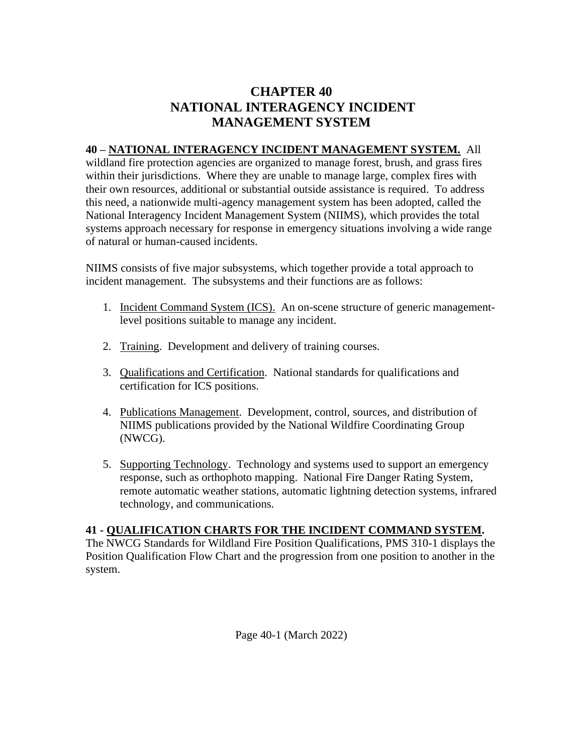## **CHAPTER 40 NATIONAL INTERAGENCY INCIDENT MANAGEMENT SYSTEM**

## **40 – NATIONAL INTERAGENCY INCIDENT MANAGEMENT SYSTEM.** All

wildland fire protection agencies are organized to manage forest, brush, and grass fires within their jurisdictions. Where they are unable to manage large, complex fires with their own resources, additional or substantial outside assistance is required. To address this need, a nationwide multi-agency management system has been adopted, called the National Interagency Incident Management System (NIIMS), which provides the total systems approach necessary for response in emergency situations involving a wide range of natural or human-caused incidents.

NIIMS consists of five major subsystems, which together provide a total approach to incident management. The subsystems and their functions are as follows:

- 1. Incident Command System (ICS). An on-scene structure of generic management level positions suitable to manage any incident.
- 2. Training. Development and delivery of training courses.
- 3. Qualifications and Certification. National standards for qualifications and certification for ICS positions.
- 4. Publications Management. Development, control, sources, and distribution of NIIMS publications provided by the National Wildfire Coordinating Group (NWCG).
- 5. Supporting Technology. Technology and systems used to support an emergency response, such as orthophoto mapping. National Fire Danger Rating System, remote automatic weather stations, automatic lightning detection systems, infrared technology, and communications.

## **41 - QUALIFICATION CHARTS FOR THE INCIDENT COMMAND SYSTEM.**

The NWCG Standards for Wildland Fire Position Qualifications, PMS 310-1 displays the Position Qualification Flow Chart and the progression from one position to another in the system.

Page 40-1 (March 2022)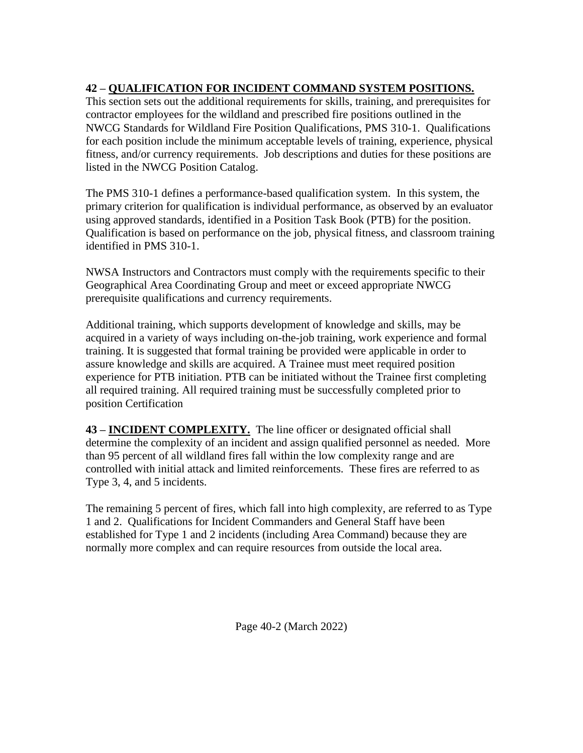## **42 – QUALIFICATION FOR INCIDENT COMMAND SYSTEM POSITIONS.**

This section sets out the additional requirements for skills, training, and prerequisites for contractor employees for the wildland and prescribed fire positions outlined in the NWCG Standards for Wildland Fire Position Qualifications, PMS 310-1. Qualifications for each position include the minimum acceptable levels of training, experience, physical fitness, and/or currency requirements. Job descriptions and duties for these positions are listed in the NWCG Position Catalog.

The PMS 310-1 defines a performance-based qualification system. In this system, the primary criterion for qualification is individual performance, as observed by an evaluator using approved standards, identified in a Position Task Book (PTB) for the position. Qualification is based on performance on the job, physical fitness, and classroom training identified in PMS 310-1.

NWSA Instructors and Contractors must comply with the requirements specific to their Geographical Area Coordinating Group and meet or exceed appropriate NWCG prerequisite qualifications and currency requirements.

Additional training, which supports development of knowledge and skills, may be acquired in a variety of ways including on-the-job training, work experience and formal training. It is suggested that formal training be provided were applicable in order to assure knowledge and skills are acquired. A Trainee must meet required position experience for PTB initiation. PTB can be initiated without the Trainee first completing all required training. All required training must be successfully completed prior to position Certification

**43 – INCIDENT COMPLEXITY.** The line officer or designated official shall determine the complexity of an incident and assign qualified personnel as needed. More than 95 percent of all wildland fires fall within the low complexity range and are controlled with initial attack and limited reinforcements. These fires are referred to as Type 3, 4, and 5 incidents.

The remaining 5 percent of fires, which fall into high complexity, are referred to as Type 1 and 2. Qualifications for Incident Commanders and General Staff have been established for Type 1 and 2 incidents (including Area Command) because they are normally more complex and can require resources from outside the local area.

Page 40-2 (March 2022)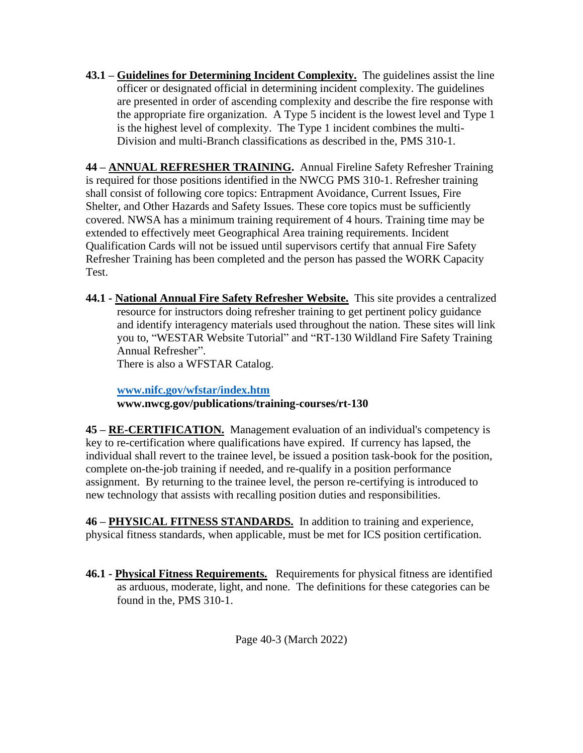**43.1 – Guidelines for Determining Incident Complexity.** The guidelines assist the line officer or designated official in determining incident complexity. The guidelines are presented in order of ascending complexity and describe the fire response with the appropriate fire organization. A Type 5 incident is the lowest level and Type 1 is the highest level of complexity. The Type 1 incident combines the multi- Division and multi-Branch classifications as described in the, PMS 310-1.

**44 – ANNUAL REFRESHER TRAINING.** Annual Fireline Safety Refresher Training is required for those positions identified in the NWCG PMS 310-1. Refresher training shall consist of following core topics: Entrapment Avoidance, Current Issues, Fire Shelter, and Other Hazards and Safety Issues. These core topics must be sufficiently covered. NWSA has a minimum training requirement of 4 hours. Training time may be extended to effectively meet Geographical Area training requirements. Incident Qualification Cards will not be issued until supervisors certify that annual Fire Safety Refresher Training has been completed and the person has passed the WORK Capacity Test.

**44.1 - National Annual Fire Safety Refresher Website.** This site provides a centralized resource for instructors doing refresher training to get pertinent policy guidance and identify interagency materials used throughout the nation. These sites will link you to, "WESTAR Website Tutorial" and "RT-130 Wildland Fire Safety Training Annual Refresher".

There is also a WFSTAR Catalog.

 **[www.nifc.gov/wfstar/index.htm](http://www.nifc.gov/wfstar/index.htm) www.nwcg.gov/publications/training-courses/rt-130**

**45 – RE-CERTIFICATION.** Management evaluation of an individual's competency is key to re-certification where qualifications have expired. If currency has lapsed, the individual shall revert to the trainee level, be issued a position task-book for the position, complete on-the-job training if needed, and re-qualify in a position performance assignment. By returning to the trainee level, the person re-certifying is introduced to new technology that assists with recalling position duties and responsibilities.

**46 – PHYSICAL FITNESS STANDARDS.** In addition to training and experience, physical fitness standards, when applicable, must be met for ICS position certification.

**46.1 - Physical Fitness Requirements.** Requirements for physical fitness are identified as arduous, moderate, light, and none. The definitions for these categories can be found in the, PMS 310-1.

Page 40-3 (March 2022)